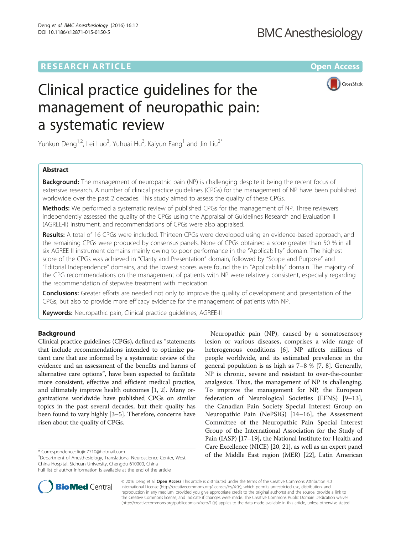# **RESEARCH ARTICLE Example 2014 12:30 The Contract of Contract ACCESS**



# Clinical practice guidelines for the management of neuropathic pain: a systematic review

Yunkun Deng $^{1,2}$ , Lei Luo $^3$ , Yuhuai Hu $^3$ , Kaiyun Fang $^1$  and Jin Liu $^{2^\ast}$ 

# Abstract

**Background:** The management of neuropathic pain (NP) is challenging despite it being the recent focus of extensive research. A number of clinical practice guidelines (CPGs) for the management of NP have been published worldwide over the past 2 decades. This study aimed to assess the quality of these CPGs.

Methods: We performed a systematic review of published CPGs for the management of NP. Three reviewers independently assessed the quality of the CPGs using the Appraisal of Guidelines Research and Evaluation II (AGREE-II) instrument, and recommendations of CPGs were also appraised.

Results: A total of 16 CPGs were included. Thirteen CPGs were developed using an evidence-based approach, and the remaining CPGs were produced by consensus panels. None of CPGs obtained a score greater than 50 % in all six AGREE II instrument domains mainly owing to poor performance in the "Applicability" domain. The highest score of the CPGs was achieved in "Clarity and Presentation" domain, followed by "Scope and Purpose" and "Editorial Independence" domains, and the lowest scores were found the in "Applicability" domain. The majority of the CPG recommendations on the management of patients with NP were relatively consistent, especially regarding the recommendation of stepwise treatment with medication.

**Conclusions:** Greater efforts are needed not only to improve the quality of development and presentation of the CPGs, but also to provide more efficacy evidence for the management of patients with NP.

Keywords: Neuropathic pain, Clinical practice guidelines, AGREE-II

# Background

Clinical practice guidelines (CPGs), defined as "statements that include recommendations intended to optimize patient care that are informed by a systematic review of the evidence and an assessment of the benefits and harms of alternative care options", have been expected to facilitate more consistent, effective and efficient medical practice, and ultimately improve health outcomes [\[1](#page--1-0), [2](#page--1-0)]. Many organizations worldwide have published CPGs on similar topics in the past several decades, but their quality has been found to vary highly [[3](#page--1-0)–[5](#page--1-0)]. Therefore, concerns have risen about the quality of CPGs.

**BioMed** Central

<sup>2</sup>Department of Anesthesiology, Translational Neuroscience Center, West China Hospital, Sichuan University, Chengdu 610000, China

Full list of author information is available at the end of the article



© 2016 Deng et al. Open Access This article is distributed under the terms of the Creative Commons Attribution 4.0 International License [\(http://creativecommons.org/licenses/by/4.0/](http://creativecommons.org/licenses/by/4.0/)), which permits unrestricted use, distribution, and reproduction in any medium, provided you give appropriate credit to the original author(s) and the source, provide a link to the Creative Commons license, and indicate if changes were made. The Creative Commons Public Domain Dedication waiver [\(http://creativecommons.org/publicdomain/zero/1.0/](http://creativecommons.org/publicdomain/zero/1.0/)) applies to the data made available in this article, unless otherwise stated.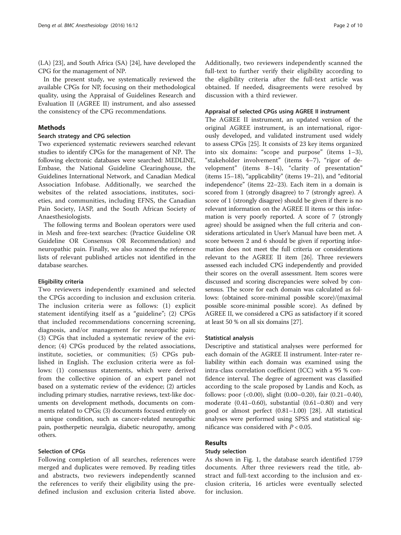(LA) [[23](#page--1-0)], and South Africa (SA) [\[24](#page--1-0)], have developed the CPG for the management of NP.

In the present study, we systematically reviewed the available CPGs for NP, focusing on their methodological quality, using the Appraisal of Guidelines Research and Evaluation II (AGREE II) instrument, and also assessed the consistency of the CPG recommendations.

# Methods

# Search strategy and CPG selection

Two experienced systematic reviewers searched relevant studies to identify CPGs for the management of NP. The following electronic databases were searched: MEDLINE, Embase, the National Guideline Clearinghouse, the Guidelines International Network, and Canadian Medical Association Infobase. Additionally, we searched the websites of the related associations, institutes, societies, and communities, including EFNS, the Canadian Pain Society, IASP, and the South African Society of Anaesthesiologists.

The following terms and Boolean operators were used in Mesh and free-text searches: (Practice Guideline OR Guideline OR Consensus OR Recommendation) and neuropathic pain. Finally, we also scanned the reference lists of relevant published articles not identified in the database searches.

#### Eligibility criteria

Two reviewers independently examined and selected the CPGs according to inclusion and exclusion criteria. The inclusion criteria were as follows: (1) explicit statement identifying itself as a "guideline"; (2) CPGs that included recommendations concerning screening, diagnosis, and/or management for neuropathic pain; (3) CPGs that included a systematic review of the evidence; (4) CPGs produced by the related associations, institute, societies, or communities; (5) CPGs published in English. The exclusion criteria were as follows: (1) consensus statements, which were derived from the collective opinion of an expert panel not based on a systematic review of the evidence; (2) articles including primary studies, narrative reviews, text-like documents on development methods, documents on comments related to CPGs; (3) documents focused entirely on a unique condition, such as cancer-related neuropathic pain, postherpetic neuralgia, diabetic neuropathy, among others.

## Selection of CPGs

Following completion of all searches, references were merged and duplicates were removed. By reading titles and abstracts, two reviewers independently scanned the references to verify their eligibility using the predefined inclusion and exclusion criteria listed above.

Additionally, two reviewers independently scanned the full-text to further verify their eligibility according to the eligibility criteria after the full-text article was obtained. If needed, disagreements were resolved by discussion with a third reviewer.

#### Appraisal of selected CPGs using AGREE II instrument

The AGREE II instrument, an updated version of the original AGREE instrument, is an international, rigorously developed, and validated instrument used widely to assess CPGs [[25\]](#page--1-0). It consists of 23 key items organized into six domains: "scope and purpose" (items 1–3), "stakeholder involvement" (items 4–7), "rigor of development" (items 8–14), "clarity of presentation" (items 15–18), "applicability" (items 19–21), and "editorial independence" (items 22–23). Each item in a domain is scored from 1 (strongly disagree) to 7 (strongly agree). A score of 1 (strongly disagree) should be given if there is no relevant information on the AGREE II items or this information is very poorly reported. A score of 7 (strongly agree) should be assigned when the full criteria and considerations articulated in User's Manual have been met. A score between 2 and 6 should be given if reporting information does not meet the full criteria or considerations relevant to the AGREE II item [[26](#page--1-0)]. Three reviewers assessed each included CPG independently and provided their scores on the overall assessment. Item scores were discussed and scoring discrepancies were solved by consensus. The score for each domain was calculated as follows: (obtained score-minimal possible score)/(maximal possible score-minimal possible score). As defined by AGREE II, we considered a CPG as satisfactory if it scored at least 50 % on all six domains [\[27\]](#page--1-0).

#### Statistical analysis

Descriptive and statistical analyses were performed for each domain of the AGREE II instrument. Inter-rater reliability within each domain was examined using the intra-class correlation coefficient (ICC) with a 95 % confidence interval. The degree of agreement was classified according to the scale proposed by Landis and Koch, as follows: poor (<0.00), slight (0.00–0.20), fair (0.21–0.40), moderate (0.41–0.60), substantial (0.61–0.80) and very good or almost perfect (0.81–1.00) [\[28](#page--1-0)]. All statistical analyses were performed using SPSS and statistical significance was considered with  $P < 0.05$ .

# Results

# Study selection

As shown in Fig. [1](#page-2-0), the database search identified 1759 documents. After three reviewers read the title, abstract and full-text according to the inclusion and exclusion criteria, 16 articles were eventually selected for inclusion.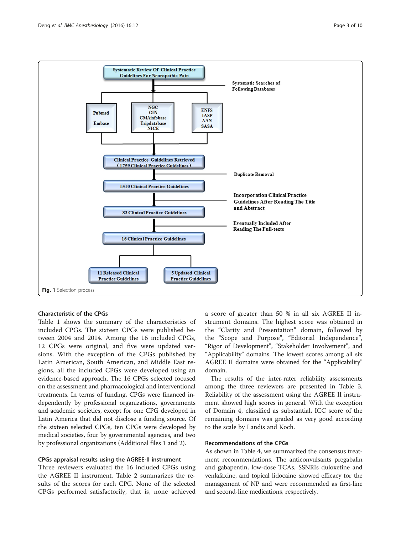<span id="page-2-0"></span>

## Characteristic of the CPGs

Table [1](#page-3-0) shows the summary of the characteristics of included CPGs. The sixteen CPGs were published between 2004 and 2014. Among the 16 included CPGs, 12 CPGs were original, and five were updated versions. With the exception of the CPGs published by Latin American, South American, and Middle East regions, all the included CPGs were developed using an evidence-based approach. The 16 CPGs selected focused on the assessment and pharmacological and interventional treatments. In terms of funding, CPGs were financed independently by professional organizations, governments and academic societies, except for one CPG developed in Latin America that did not disclose a funding source. Of the sixteen selected CPGs, ten CPGs were developed by medical societies, four by governmental agencies, and two by professional organizations (Additional files [1](#page-8-0) and [2](#page-8-0)).

#### CPGs appraisal results using the AGREE-II instrument

Three reviewers evaluated the 16 included CPGs using the AGREE II instrument. Table [2](#page-5-0) summarizes the results of the scores for each CPG. None of the selected CPGs performed satisfactorily, that is, none achieved

a score of greater than 50 % in all six AGREE II instrument domains. The highest score was obtained in the "Clarity and Presentation" domain, followed by the "Scope and Purpose", "Editorial Independence", "Rigor of Development", "Stakeholder Involvement", and "Applicability" domains. The lowest scores among all six AGREE II domains were obtained for the "Applicability" domain.

The results of the inter-rater reliability assessments among the three reviewers are presented in Table [3](#page-5-0). Reliability of the assessment using the AGREE II instrument showed high scores in general. With the exception of Domain 4, classified as substantial, ICC score of the remaining domains was graded as very good according to the scale by Landis and Koch.

## Recommendations of the CPGs

As shown in Table [4](#page-6-0), we summarized the consensus treatment recommendations. The anticonvulsants pregabalin and gabapentin, low-dose TCAs, SSNRIs duloxetine and venlafaxine, and topical lidocaine showed efficacy for the management of NP and were recommended as first-line and second-line medications, respectively.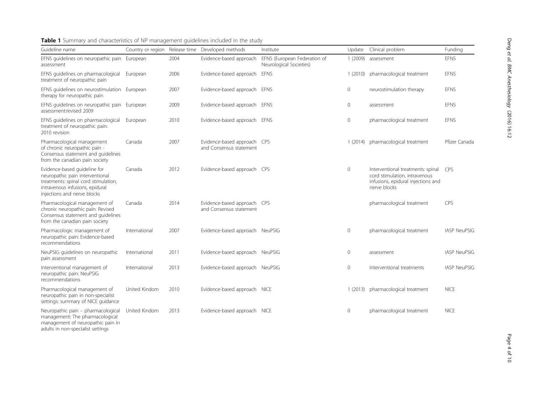| Guideline name                                                                                                                                                            |               |      | Country or region Release time Developed methods       | Institute                                               | Update              | Clinical problem                                                                                                             | Funding             |
|---------------------------------------------------------------------------------------------------------------------------------------------------------------------------|---------------|------|--------------------------------------------------------|---------------------------------------------------------|---------------------|------------------------------------------------------------------------------------------------------------------------------|---------------------|
| EFNS quidelines on neuropathic pain European<br>assessment                                                                                                                |               | 2004 | Evidence-based approach                                | EFNS (European Federation of<br>Neurological Societies) | 1(2009)             | assessment                                                                                                                   | <b>EFNS</b>         |
| EFNS guidelines on pharmacological<br>treatment of neuropathic pain                                                                                                       | European      | 2006 | Evidence-based approach EFNS                           |                                                         | 1(2010)             | pharmacological treatment                                                                                                    | <b>EFNS</b>         |
| EFNS quidelines on neurostimulation<br>therapy for neuropathic pain                                                                                                       | European      | 2007 | Evidence-based approach EFNS                           |                                                         | $\circ$             | neurostimulation therapy                                                                                                     | <b>EFNS</b>         |
| EFNS quidelines on neuropathic pain European<br>assessment:revised 2009                                                                                                   |               | 2009 | Evidence-based approach EFNS                           |                                                         | 0                   | assessment                                                                                                                   | <b>EFNS</b>         |
| EFNS quidelines on pharmacological<br>treatment of neuropathic pain:<br>2010 revision                                                                                     | European      | 2010 | Evidence-based approach EFNS                           |                                                         | 0                   | pharmacological treatment                                                                                                    | <b>EFNS</b>         |
| Pharmacological management<br>of chronic neuropathic pain -<br>Consensus statement and guidelines<br>from the canadian pain society                                       | Canada        | 2007 | Evidence-based approach CPS<br>and Consensus statement |                                                         | 1 (2014)            | pharmacological treatment                                                                                                    | Pfizer Canada       |
| Evidence-based guideline for<br>neuropathic pain interventional<br>treatments: spinal cord stimulation,<br>intravenous infusions, epidural<br>injections and nerve blocks | Canada        | 2012 | Evidence-based approach CPS                            |                                                         | $\circ$             | Interventional treatments: spinal CPS<br>cord stimulation, intravenous<br>infusions, epidural injections and<br>nerve blocks |                     |
| Pharmacological management of<br>chronic neuropathic pain: Revised<br>Consensus statement and quidelines<br>from the canadian pain society                                | Canada        | 2014 | Evidence-based approach CPS<br>and Consensus statement |                                                         |                     | pharmacological treatment                                                                                                    | CPS                 |
| Pharmacologic management of<br>neuropathic pain: Evidence-based<br>recommendations                                                                                        | International | 2007 | Evidence-based approach NeuPSIG                        |                                                         | $\circ$             | pharmacological treatment                                                                                                    | <b>IASP NeuPSIG</b> |
| NeuPSIG quidelines on neuropathic<br>pain assessment                                                                                                                      | International | 2011 | Evidence-based approach NeuPSIG                        |                                                         | $\mathsf{O}\xspace$ | assessment                                                                                                                   | <b>IASP NeuPSIG</b> |
| Interventional management of<br>neuropathic pain: NeuPSIG<br>recommendations                                                                                              | International | 2013 | Evidence-based approach NeuPSIG                        |                                                         | $\circ$             | Interventional treatments                                                                                                    | <b>IASP NeuPSIG</b> |
| Pharmacological management of<br>neuropathic pain in non-specialist<br>settings: summary of NICE guidance                                                                 | United Kindom | 2010 | Evidence-based approach NICE                           |                                                         | 1 (2013)            | pharmacological treatment                                                                                                    | <b>NICE</b>         |
| Neuropathic pain - pharmacological<br>management: The pharmacological<br>management of neuropathic pain in<br>adults in non-specialist settings                           | United Kindom | 2013 | Evidence-based approach NICE                           |                                                         | 0                   | pharmacological treatment                                                                                                    | <b>NICE</b>         |

<span id="page-3-0"></span>Table 1 Summary and characteristics of NP management guidelines included in the study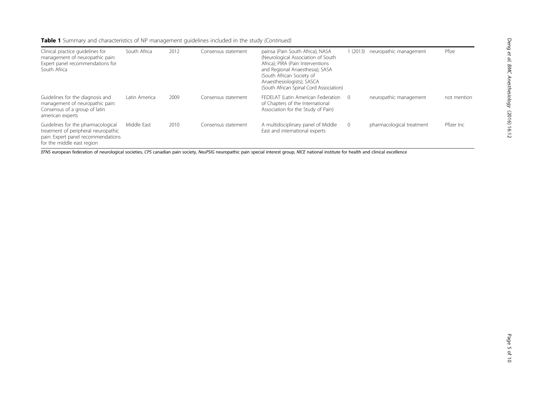Table 1 Summary and characteristics of NP management guidelines included in the study (Continued)

| Clinical practice guidelines for<br>management of neuropathic pain:<br>Expert panel recommendations for<br>South Africa                       | South Africa  | 2012 | Consensus statement | painsa (Pain South Africa); NASA<br>(Neurological Association of South<br>Africa); PIRA (Pain Interventions<br>and Regional Anaesthesia); SASA<br>(South African Society of<br>Anaesthesiologists); SASCA<br>(South African Spinal Cord Association) |          | (2013) neuropathic management | Pfize       |
|-----------------------------------------------------------------------------------------------------------------------------------------------|---------------|------|---------------------|------------------------------------------------------------------------------------------------------------------------------------------------------------------------------------------------------------------------------------------------------|----------|-------------------------------|-------------|
| Guidelines for the diagnosis and<br>management of neuropathic pain:<br>Consensus of a group of latin<br>american experts                      | Latin America | 2009 | Consensus statement | FEDELAT (Latin American Federation<br>of Chapters of the International<br>Association for the Study of Pain)                                                                                                                                         | $\circ$  | neuropathic management        | not mention |
| Guidelines for the pharmacological<br>treatment of peripheral neuropathic<br>pain: Expert panel recommendations<br>for the middle east region | Middle East   | 2010 | Consensus statement | A multidisciplinary panel of Middle<br>East and international experts                                                                                                                                                                                | $\Omega$ | pharmacological treatment     | Pfizer Inc. |

EFNS european federation of neurological societies, CPS canadian pain society, NeuPSIG neuropathic pain special interest group, NICE national institute for health and clinical excellence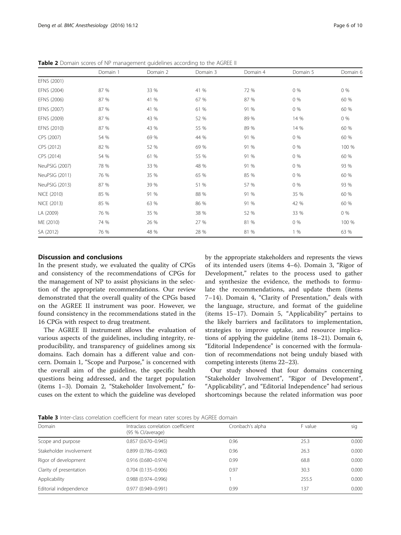|                | Domain 1 | Domain 2 | Domain 3 | Domain 4 | Domain 5 | Domain 6 |
|----------------|----------|----------|----------|----------|----------|----------|
| EFNS (2001)    |          |          |          |          |          |          |
| EFNS (2004)    | 87 %     | 33 %     | 41 %     | 72 %     | $0\%$    | 0 %      |
| EFNS (2006)    | 87 %     | 41 %     | 67 %     | 87 %     | 0 %      | 60 %     |
| EFNS (2007)    | 87 %     | 41 %     | 61 %     | 91 %     | 0 %      | 60 %     |
| EFNS (2009)    | 87 %     | 43 %     | 52 %     | 89 %     | 14 %     | 0 %      |
| EFNS (2010)    | 87 %     | 43 %     | 55 %     | 89 %     | 14 %     | 60 %     |
| CPS (2007)     | 54 %     | 69 %     | 44 %     | 91 %     | 0 %      | 60 %     |
| CPS (2012)     | 82 %     | 52 %     | 69 %     | 91 %     | 0 %      | 100 %    |
| CPS (2014)     | 54 %     | 61 %     | 55 %     | 91 %     | 0 %      | 60 %     |
| NeuPSIG (2007) | 78 %     | 33 %     | 48 %     | 91 %     | $0\%$    | 93 %     |
| NeuPSIG (2011) | 76 %     | 35 %     | 65 %     | 85 %     | $0\%$    | 60 %     |
| NeuPSIG (2013) | 87 %     | 39 %     | 51 %     | 57 %     | $0\%$    | 93 %     |
| NICE (2010)    | 85 %     | 91 %     | 88 %     | 91 %     | 35 %     | 60 %     |
| NICE (2013)    | 85 %     | 63 %     | 86 %     | 91 %     | 42 %     | 60 %     |
| LA (2009)      | 76 %     | 35 %     | 38 %     | 52 %     | 33 %     | 0 %      |
| ME (2010)      | 74 %     | 26 %     | 27 %     | 81 %     | 0 %      | 100 %    |
| SA (2012)      | 76 %     | 48 %     | 28 %     | 81 %     | 1%       | 63 %     |

<span id="page-5-0"></span>Table 2 Domain scores of NP management guidelines according to the AGREE II

## Discussion and conclusions

In the present study, we evaluated the quality of CPGs and consistency of the recommendations of CPGs for the management of NP to assist physicians in the selection of the appropriate recommendations. Our review demonstrated that the overall quality of the CPGs based on the AGREE II instrument was poor. However, we found consistency in the recommendations stated in the 16 CPGs with respect to drug treatment.

The AGREE II instrument allows the evaluation of various aspects of the guidelines, including integrity, reproducibility, and transparency of guidelines among six domains. Each domain has a different value and concern. Domain 1, "Scope and Purpose," is concerned with the overall aim of the guideline, the specific health questions being addressed, and the target population (items 1–3). Domain 2, "Stakeholder Involvement," focuses on the extent to which the guideline was developed by the appropriate stakeholders and represents the views of its intended users (items 4–6). Domain 3, "Rigor of Development," relates to the process used to gather and synthesize the evidence, the methods to formulate the recommendations, and update them (items 7–14). Domain 4, "Clarity of Presentation," deals with the language, structure, and format of the guideline (items 15–17). Domain 5, "Applicability" pertains to the likely barriers and facilitators to implementation, strategies to improve uptake, and resource implications of applying the guideline (items 18–21). Domain 6, "Editorial Independence" is concerned with the formulation of recommendations not being unduly biased with competing interests (items 22–23).

Our study showed that four domains concerning "Stakeholder Involvement", "Rigor of Development", "Applicability", and "Editorial Independence" had serious shortcomings because the related information was poor

Table 3 Inter-class correlation coefficient for mean rater scores by AGREE domain

| Intraclass correlation coefficient | Cronbach's alpha | F value | sig   |  |
|------------------------------------|------------------|---------|-------|--|
| (95 % Cl/average)                  |                  |         |       |  |
| $0.857$ (0.670-0.945)              | 0.96             | 25.3    | 0.000 |  |
| $0.899(0.786 - 0.960)$             | 0.96             | 26.3    | 0.000 |  |
| $0.916(0.680 - 0.974)$             | 0.99             | 68.8    | 0.000 |  |
| $0.704(0.135 - 0.906)$             | 0.97             | 30.3    | 0.000 |  |
| $0.988(0.974 - 0.996)$             |                  | 255.5   | 0.000 |  |
| $0.977(0.949 - 0.991)$             | 0.99             | 137     | 0.000 |  |
|                                    |                  |         |       |  |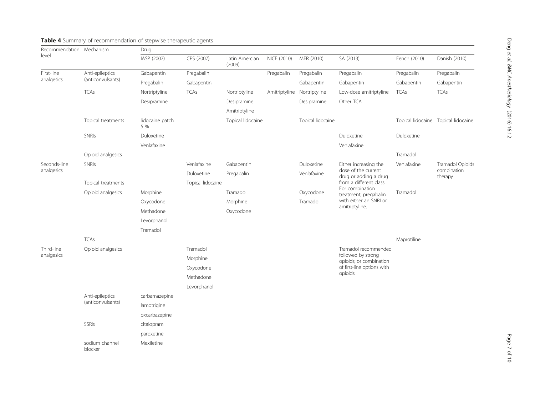| Recommendation Mechanism |                                      | Drug                   |                   |                          |               |                   |                                                                                                                     |              |                                     |  |
|--------------------------|--------------------------------------|------------------------|-------------------|--------------------------|---------------|-------------------|---------------------------------------------------------------------------------------------------------------------|--------------|-------------------------------------|--|
| level                    |                                      | IASP (2007)            | CPS (2007)        | Latin Amercian<br>(2009) | NICE (2010)   | MER (2010)        | SA (2013)                                                                                                           | Fench (2010) | Danish (2010)                       |  |
| First-line               | Anti-epileptics<br>(anticonvulsants) | Gabapentin             | Pregabalin        |                          | Pregabalin    | Pregabalin        | Pregabalin                                                                                                          | Pregabalin   | Pregabalin                          |  |
| analgesics               |                                      | Pregabalin             | Gabapentin        |                          |               | Gabapentin        | Gabapentin                                                                                                          | Gabapentin   | Gabapentin                          |  |
|                          | <b>TCAs</b>                          | Nortriptyline          | <b>TCAs</b>       | Nortriptyline            | Amitriptyline | Nortriptyline     | Low-dose amitriptyline                                                                                              | <b>TCAs</b>  | <b>TCAs</b>                         |  |
|                          |                                      | Desipramine            |                   | Desipramine              |               | Desipramine       | Other TCA                                                                                                           |              |                                     |  |
|                          |                                      |                        |                   | Amitriptyline            |               |                   |                                                                                                                     |              |                                     |  |
|                          | Topical treatments                   | lidocaine patch<br>5 % |                   | Topical lidocaine        |               | Topical lidocaine |                                                                                                                     |              | Topical lidocaine Topical lidocaine |  |
|                          | <b>SNRIs</b>                         | Duloxetine             |                   |                          |               |                   | Duloxetine                                                                                                          | Duloxetine   |                                     |  |
|                          |                                      | Venlafaxine            |                   |                          |               |                   | Venlafaxine                                                                                                         |              |                                     |  |
|                          | Opioid analgesics                    |                        |                   |                          |               |                   |                                                                                                                     | Tramadol     |                                     |  |
| Seconds-line             | <b>SNRIS</b>                         |                        | Venlafaxine       | Gabapentin               |               | Duloxetine        | Either increasing the<br>dose of the current<br>drug or adding a drug<br>from a different class.<br>For combination | Venlafaxine  | <b>Tramadol Opioids</b>             |  |
| analgesics               |                                      |                        | Duloxetine        | Pregabalin               |               | Venlafaxine       |                                                                                                                     |              | combination<br>therapy              |  |
|                          | Topical treatments                   |                        | Topical lidocaine |                          |               |                   |                                                                                                                     |              |                                     |  |
|                          | Opioid analgesics                    | Morphine               |                   | Tramadol                 |               | Oxycodone         | treatment, pregabalin<br>with either an SNRI or<br>amitriptyline.                                                   | Tramadol     |                                     |  |
|                          |                                      | Oxycodone              |                   | Morphine                 |               | Tramadol          |                                                                                                                     |              |                                     |  |
|                          |                                      | Methadone              |                   | Oxycodone                |               |                   |                                                                                                                     |              |                                     |  |
|                          |                                      | Levorphanol            |                   |                          |               |                   |                                                                                                                     |              |                                     |  |
|                          |                                      | Tramadol               |                   |                          |               |                   |                                                                                                                     |              |                                     |  |
|                          | <b>TCAs</b>                          |                        |                   |                          |               |                   |                                                                                                                     | Maprotiline  |                                     |  |
| Third-line               | Opioid analgesics                    |                        | Tramadol          |                          |               |                   | Tramadol recommended                                                                                                |              |                                     |  |
| analgesics               |                                      |                        | Morphine          |                          |               |                   | followed by strong<br>opioids, or combination<br>of first-line options with<br>opioids.                             |              |                                     |  |
|                          |                                      |                        | Oxycodone         |                          |               |                   |                                                                                                                     |              |                                     |  |
|                          |                                      |                        | Methadone         |                          |               |                   |                                                                                                                     |              |                                     |  |
|                          |                                      |                        | Levorphanol       |                          |               |                   |                                                                                                                     |              |                                     |  |
|                          | Anti-epileptics<br>(anticonvulsants) | carbamazepine          |                   |                          |               |                   |                                                                                                                     |              |                                     |  |
|                          |                                      | lamotrigine            |                   |                          |               |                   |                                                                                                                     |              |                                     |  |
|                          |                                      | oxcarbazepine          |                   |                          |               |                   |                                                                                                                     |              |                                     |  |
|                          | SSRIs                                | citalopram             |                   |                          |               |                   |                                                                                                                     |              |                                     |  |
|                          |                                      | paroxetine             |                   |                          |               |                   |                                                                                                                     |              |                                     |  |
|                          | sodium channel<br>blocker            | Mexiletine             |                   |                          |               |                   |                                                                                                                     |              |                                     |  |

# <span id="page-6-0"></span>Table 4 Summary of recommendation of stepwise therapeutic agents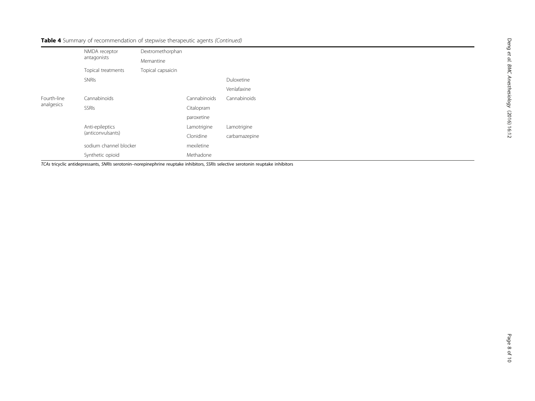| antagonists | NMDA receptor                        | Dextromethorphan  |              |               |
|-------------|--------------------------------------|-------------------|--------------|---------------|
|             |                                      | Memantine         |              |               |
|             | Topical treatments                   | Topical capsaicin |              |               |
|             | SNRIs                                |                   |              | Duloxetine    |
|             |                                      |                   |              | Venlafaxine   |
| Fourth-line | Cannabinoids                         |                   | Cannabinoids | Cannabinoids  |
| analgesics  | <b>SSRIs</b>                         |                   | Citalopram   |               |
|             |                                      |                   | paroxetine   |               |
|             | Anti-epileptics<br>(anticonvulsants) |                   | Lamotrigine  | Lamotrigine   |
|             |                                      |                   | Clonidine    | carbamazepine |
|             | sodium channel blocker               |                   | mexiletine   |               |
|             | Synthetic opioid                     |                   | Methadone    |               |

TCAs tricyclic antidepressants, SNRIs serotonin–norepinephrine reuptake inhibitors, SSRIs selective serotonin reuptake inhibitors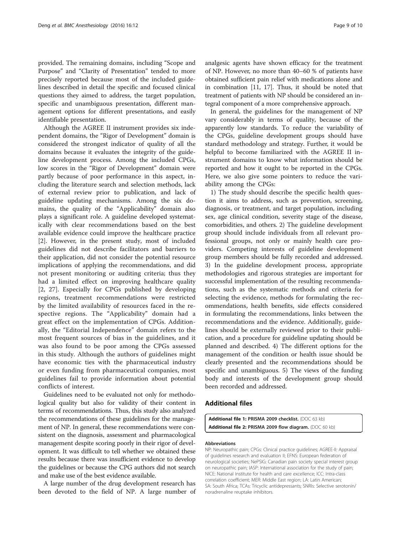<span id="page-8-0"></span>provided. The remaining domains, including "Scope and Purpose" and "Clarity of Presentation" tended to more precisely reported because most of the included guidelines described in detail the specific and focused clinical questions they aimed to address, the target population, specific and unambiguous presentation, different management options for different presentations, and easily identifiable presentation.

Although the AGREE II instrument provides six independent domains, the "Rigor of Development" domain is considered the strongest indicator of quality of all the domains because it evaluates the integrity of the guideline development process. Among the included CPGs, low scores in the "Rigor of Development" domain were partly because of poor performance in this aspect, including the literature search and selection methods, lack of external review prior to publication, and lack of guideline updating mechanisms. Among the six domains, the quality of the "Applicability" domain also plays a significant role. A guideline developed systematically with clear recommendations based on the best available evidence could improve the healthcare practice [[2\]](#page--1-0). However, in the present study, most of included guidelines did not describe facilitators and barriers to their application, did not consider the potential resource implications of applying the recommendations, and did not present monitoring or auditing criteria; thus they had a limited effect on improving healthcare quality [[2, 27](#page--1-0)]. Especially for CPGs published by developing regions, treatment recommendations were restricted by the limited availability of resources faced in the respective regions. The "Applicability" domain had a great effect on the implementation of CPGs. Additionally, the "Editorial Independence" domain refers to the most frequent sources of bias in the guidelines, and it was also found to be poor among the CPGs assessed in this study. Although the authors of guidelines might have economic ties with the pharmaceutical industry or even funding from pharmaceutical companies, most guidelines fail to provide information about potential conflicts of interest.

Guidelines need to be evaluated not only for methodological quality but also for validity of their content in terms of recommendations. Thus, this study also analyzed the recommendations of these guidelines for the management of NP. In general, these recommendations were consistent on the diagnosis, assessment and pharmacological management despite scoring poorly in their rigor of development. It was difficult to tell whether we obtained these results because there was insufficient evidence to develop the guidelines or because the CPG authors did not search and make use of the best evidence available.

A large number of the drug development research has been devoted to the field of NP. A large number of

analgesic agents have shown efficacy for the treatment of NP. However, no more than 40–60 % of patients have obtained sufficient pain relief with medications alone and in combination [[11](#page--1-0), [17\]](#page--1-0). Thus, it should be noted that treatment of patients with NP should be considered an integral component of a more comprehensive approach.

In general, the guidelines for the management of NP vary considerably in terms of quality, because of the apparently low standards. To reduce the variability of the CPGs, guideline development groups should have standard methodology and strategy. Further, it would be helpful to become familiarized with the AGREE II instrument domains to know what information should be reported and how it ought to be reported in the CPGs. Here, we also give some pointers to reduce the variability among the CPGs:

1) The study should describe the specific health question it aims to address, such as prevention, screening, diagnosis, or treatment, and target population, including sex, age clinical condition, severity stage of the disease, comorbidities, and others. 2) The guideline development group should include individuals from all relevant professional groups, not only or mainly health care providers. Competing interests of guideline development group members should be fully recorded and addressed. 3) In the guideline development process, appropriate methodologies and rigorous strategies are important for successful implementation of the resulting recommendations, such as the systematic methods and criteria for selecting the evidence, methods for formulating the recommendations, health benefits, side effects considered in formulating the recommendations, links between the recommendations and the evidence. Additionally, guidelines should be externally reviewed prior to their publication, and a procedure for guideline updating should be planned and described. 4) The different options for the management of the condition or health issue should be clearly presented and the recommendations should be specific and unambiguous. 5) The views of the funding body and interests of the development group should been recorded and addressed.

#### Additional files

[Additional file 1:](dx.doi.org/10.1186/s12871-015-0150-5) PRISMA 2009 checklist. (DOC 63 kb) [Additional file 2:](dx.doi.org/10.1186/s12871-015-0150-5) PRISMA 2009 flow diagram. (DOC 60 kb)

#### Abbreviations

NP: Neuropathic pain; CPGs: Clinical practice guidelines; AGREE-II: Appraisal of guidelines research and evaluation II; EFNS: European federation of neurological societies; NePSIG: Canadian pain society special interest group on neuropathic pain; IASP: International association for the study of pain; NICE: National institute for health and care excellence; ICC: Intra-class correlation coefficient; MER: Middle East region; LA: Latin American; SA: South Africa; TCAs: Tricyclic antidepressants; SNRIs: Selective serotonin/ noradrenaline reuptake inhibitors.